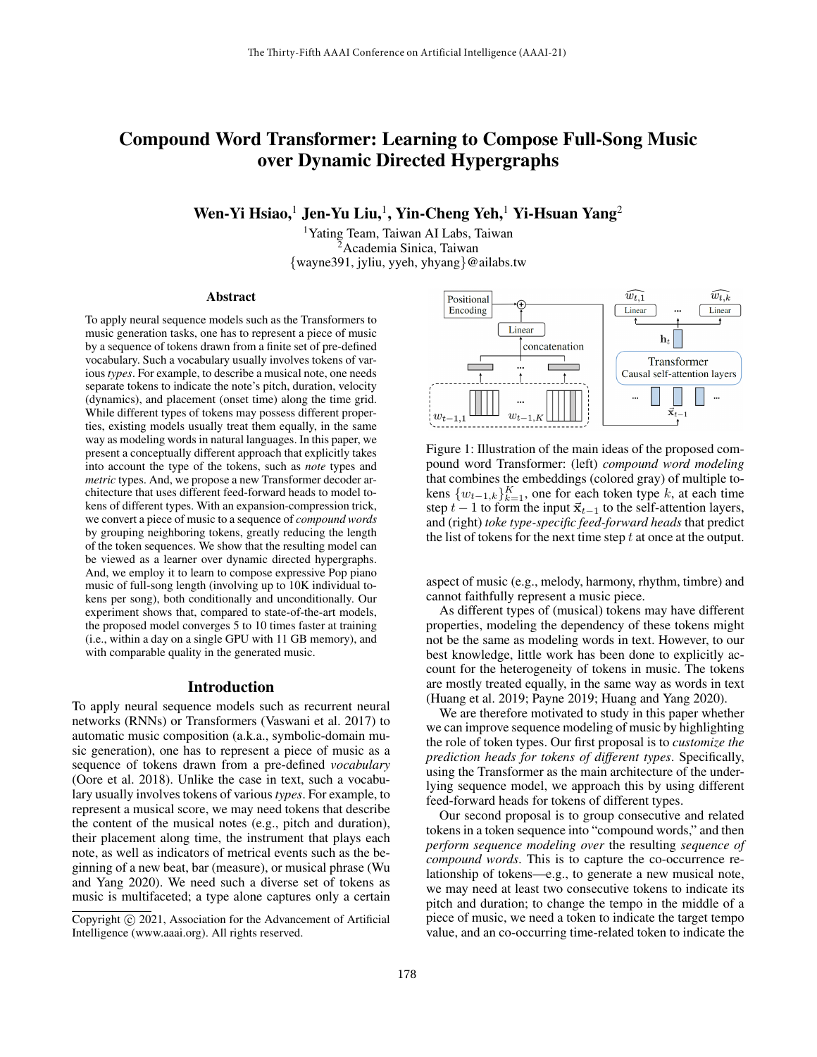# Compound Word Transformer: Learning to Compose Full-Song Music over Dynamic Directed Hypergraphs

Wen-Yi Hsiao, $^1$  Jen-Yu Liu, $^1$ , Yin-Cheng Yeh, $^1$  Yi-Hsuan Yang $^2$ 

<sup>1</sup>Yating Team, Taiwan AI Labs, Taiwan <sup>2</sup>Academia Sinica, Taiwan {wayne391, jyliu, yyeh, yhyang}@ailabs.tw

#### Abstract

To apply neural sequence models such as the Transformers to music generation tasks, one has to represent a piece of music by a sequence of tokens drawn from a finite set of pre-defined vocabulary. Such a vocabulary usually involves tokens of various *types*. For example, to describe a musical note, one needs separate tokens to indicate the note's pitch, duration, velocity (dynamics), and placement (onset time) along the time grid. While different types of tokens may possess different properties, existing models usually treat them equally, in the same way as modeling words in natural languages. In this paper, we present a conceptually different approach that explicitly takes into account the type of the tokens, such as *note* types and *metric* types. And, we propose a new Transformer decoder architecture that uses different feed-forward heads to model tokens of different types. With an expansion-compression trick, we convert a piece of music to a sequence of *compound words* by grouping neighboring tokens, greatly reducing the length of the token sequences. We show that the resulting model can be viewed as a learner over dynamic directed hypergraphs. And, we employ it to learn to compose expressive Pop piano music of full-song length (involving up to 10K individual tokens per song), both conditionally and unconditionally. Our experiment shows that, compared to state-of-the-art models, the proposed model converges 5 to 10 times faster at training (i.e., within a day on a single GPU with 11 GB memory), and with comparable quality in the generated music.

# Introduction

To apply neural sequence models such as recurrent neural networks (RNNs) or Transformers (Vaswani et al. 2017) to automatic music composition (a.k.a., symbolic-domain music generation), one has to represent a piece of music as a sequence of tokens drawn from a pre-defined *vocabulary* (Oore et al. 2018). Unlike the case in text, such a vocabulary usually involves tokens of various*types*. For example, to represent a musical score, we may need tokens that describe the content of the musical notes (e.g., pitch and duration), their placement along time, the instrument that plays each note, as well as indicators of metrical events such as the beginning of a new beat, bar (measure), or musical phrase (Wu and Yang 2020). We need such a diverse set of tokens as music is multifaceted; a type alone captures only a certain



Figure 1: Illustration of the main ideas of the proposed compound word Transformer: (left) *compound word modeling* that combines the embeddings (colored gray) of multiple tokens  $\{w_{t-1,k}\}_{k=1}^K$ , one for each token type k, at each time step  $t - 1$  to form the input  $\vec{x}_{t-1}$  to the self-attention layers, and (right) *toke type-specific feed-forward heads* that predict the list of tokens for the next time step  $t$  at once at the output.

aspect of music (e.g., melody, harmony, rhythm, timbre) and cannot faithfully represent a music piece.

As different types of (musical) tokens may have different properties, modeling the dependency of these tokens might not be the same as modeling words in text. However, to our best knowledge, little work has been done to explicitly account for the heterogeneity of tokens in music. The tokens are mostly treated equally, in the same way as words in text (Huang et al. 2019; Payne 2019; Huang and Yang 2020).

We are therefore motivated to study in this paper whether we can improve sequence modeling of music by highlighting the role of token types. Our first proposal is to *customize the prediction heads for tokens of different types*. Specifically, using the Transformer as the main architecture of the underlying sequence model, we approach this by using different feed-forward heads for tokens of different types.

Our second proposal is to group consecutive and related tokens in a token sequence into "compound words," and then *perform sequence modeling over* the resulting *sequence of compound words*. This is to capture the co-occurrence relationship of tokens—e.g., to generate a new musical note, we may need at least two consecutive tokens to indicate its pitch and duration; to change the tempo in the middle of a piece of music, we need a token to indicate the target tempo value, and an co-occurring time-related token to indicate the

Copyright © 2021, Association for the Advancement of Artificial Intelligence (www.aaai.org). All rights reserved.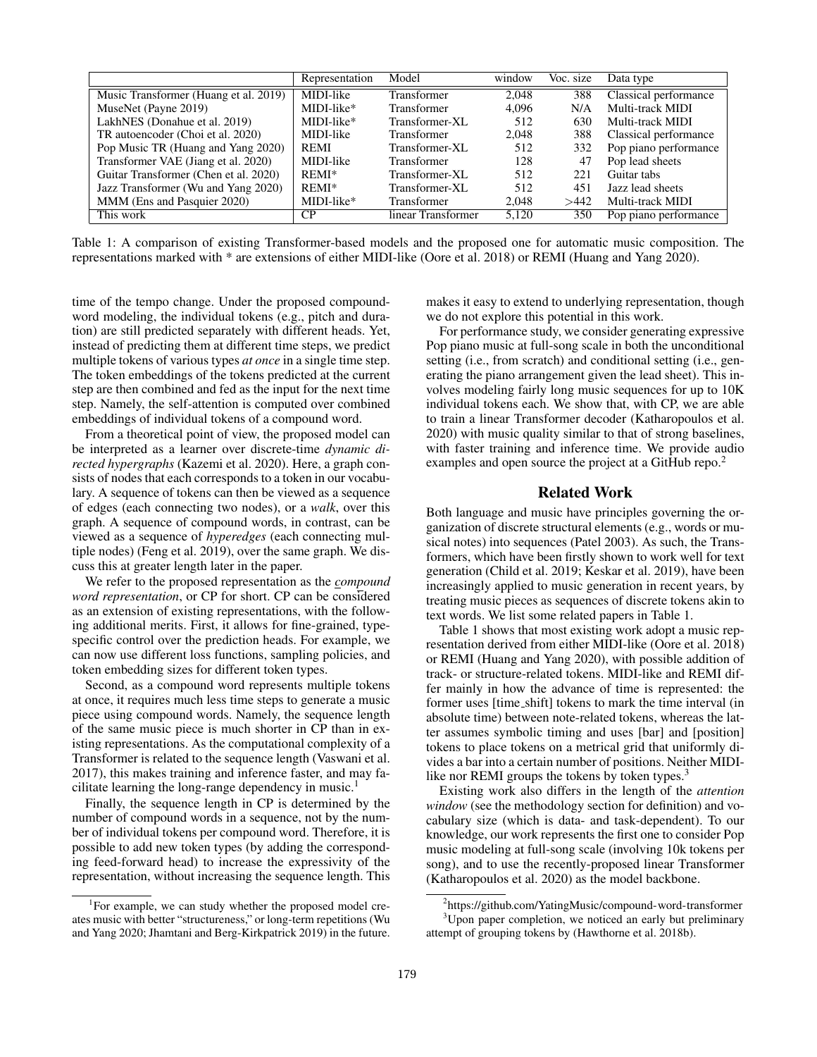|                                       | Representation | Model              | window | Voc. size | Data type                    |
|---------------------------------------|----------------|--------------------|--------|-----------|------------------------------|
| Music Transformer (Huang et al. 2019) | MIDI-like      | Transformer        | 2.048  | 388       | <b>Classical performance</b> |
| MuseNet (Payne 2019)                  | MIDI-like*     | Transformer        | 4.096  | N/A       | Multi-track MIDI             |
| LakhNES (Donahue et al. 2019)         | MIDI-like*     | Transformer-XL     | 512    | 630       | Multi-track MIDI             |
| TR autoencoder (Choi et al. 2020)     | MIDI-like      | <b>Transformer</b> | 2,048  | 388       | Classical performance        |
| Pop Music TR (Huang and Yang 2020)    | <b>REMI</b>    | Transformer-XL     | 512    | 332       | Pop piano performance        |
| Transformer VAE (Jiang et al. 2020)   | MIDI-like      | Transformer        | 128    | 47        | Pop lead sheets              |
| Guitar Transformer (Chen et al. 2020) | REMI*          | Transformer-XL     | 512    | 221       | Guitar tabs                  |
| Jazz Transformer (Wu and Yang 2020)   | REMI*          | Transformer-XL     | 512    | 451       | Jazz lead sheets             |
| MMM (Ens and Pasquier 2020)           | MIDI-like*     | Transformer        | 2,048  | >442      | Multi-track MIDI             |
| This work                             | CP.            | linear Transformer | 5,120  | 350       | Pop piano performance        |

Table 1: A comparison of existing Transformer-based models and the proposed one for automatic music composition. The representations marked with \* are extensions of either MIDI-like (Oore et al. 2018) or REMI (Huang and Yang 2020).

time of the tempo change. Under the proposed compoundword modeling, the individual tokens (e.g., pitch and duration) are still predicted separately with different heads. Yet, instead of predicting them at different time steps, we predict multiple tokens of various types *at once* in a single time step. The token embeddings of the tokens predicted at the current step are then combined and fed as the input for the next time step. Namely, the self-attention is computed over combined embeddings of individual tokens of a compound word.

From a theoretical point of view, the proposed model can be interpreted as a learner over discrete-time *dynamic directed hypergraphs* (Kazemi et al. 2020). Here, a graph consists of nodes that each corresponds to a token in our vocabulary. A sequence of tokens can then be viewed as a sequence of edges (each connecting two nodes), or a *walk*, over this graph. A sequence of compound words, in contrast, can be viewed as a sequence of *hyperedges* (each connecting multiple nodes) (Feng et al. 2019), over the same graph. We discuss this at greater length later in the paper.

We refer to the proposed representation as the *compound word representation*, or CP for short. CP can be considered as an extension of existing representations, with the following additional merits. First, it allows for fine-grained, typespecific control over the prediction heads. For example, we can now use different loss functions, sampling policies, and token embedding sizes for different token types.

Second, as a compound word represents multiple tokens at once, it requires much less time steps to generate a music piece using compound words. Namely, the sequence length of the same music piece is much shorter in CP than in existing representations. As the computational complexity of a Transformer is related to the sequence length (Vaswani et al. 2017), this makes training and inference faster, and may facilitate learning the long-range dependency in music.<sup>1</sup>

Finally, the sequence length in CP is determined by the number of compound words in a sequence, not by the number of individual tokens per compound word. Therefore, it is possible to add new token types (by adding the corresponding feed-forward head) to increase the expressivity of the representation, without increasing the sequence length. This

makes it easy to extend to underlying representation, though we do not explore this potential in this work.

For performance study, we consider generating expressive Pop piano music at full-song scale in both the unconditional setting (i.e., from scratch) and conditional setting (i.e., generating the piano arrangement given the lead sheet). This involves modeling fairly long music sequences for up to 10K individual tokens each. We show that, with CP, we are able to train a linear Transformer decoder (Katharopoulos et al. 2020) with music quality similar to that of strong baselines, with faster training and inference time. We provide audio examples and open source the project at a GitHub repo.<sup>2</sup>

# Related Work

Both language and music have principles governing the organization of discrete structural elements (e.g., words or musical notes) into sequences (Patel 2003). As such, the Transformers, which have been firstly shown to work well for text generation (Child et al. 2019; Keskar et al. 2019), have been increasingly applied to music generation in recent years, by treating music pieces as sequences of discrete tokens akin to text words. We list some related papers in Table 1.

Table 1 shows that most existing work adopt a music representation derived from either MIDI-like (Oore et al. 2018) or REMI (Huang and Yang 2020), with possible addition of track- or structure-related tokens. MIDI-like and REMI differ mainly in how the advance of time is represented: the former uses [time shift] tokens to mark the time interval (in absolute time) between note-related tokens, whereas the latter assumes symbolic timing and uses [bar] and [position] tokens to place tokens on a metrical grid that uniformly divides a bar into a certain number of positions. Neither MIDIlike nor REMI groups the tokens by token types.<sup>3</sup>

Existing work also differs in the length of the *attention window* (see the methodology section for definition) and vocabulary size (which is data- and task-dependent). To our knowledge, our work represents the first one to consider Pop music modeling at full-song scale (involving 10k tokens per song), and to use the recently-proposed linear Transformer (Katharopoulos et al. 2020) as the model backbone.

<sup>&</sup>lt;sup>1</sup>For example, we can study whether the proposed model creates music with better "structureness," or long-term repetitions (Wu and Yang 2020; Jhamtani and Berg-Kirkpatrick 2019) in the future.

<sup>2</sup> https://github.com/YatingMusic/compound-word-transformer <sup>3</sup>Upon paper completion, we noticed an early but preliminary attempt of grouping tokens by (Hawthorne et al. 2018b).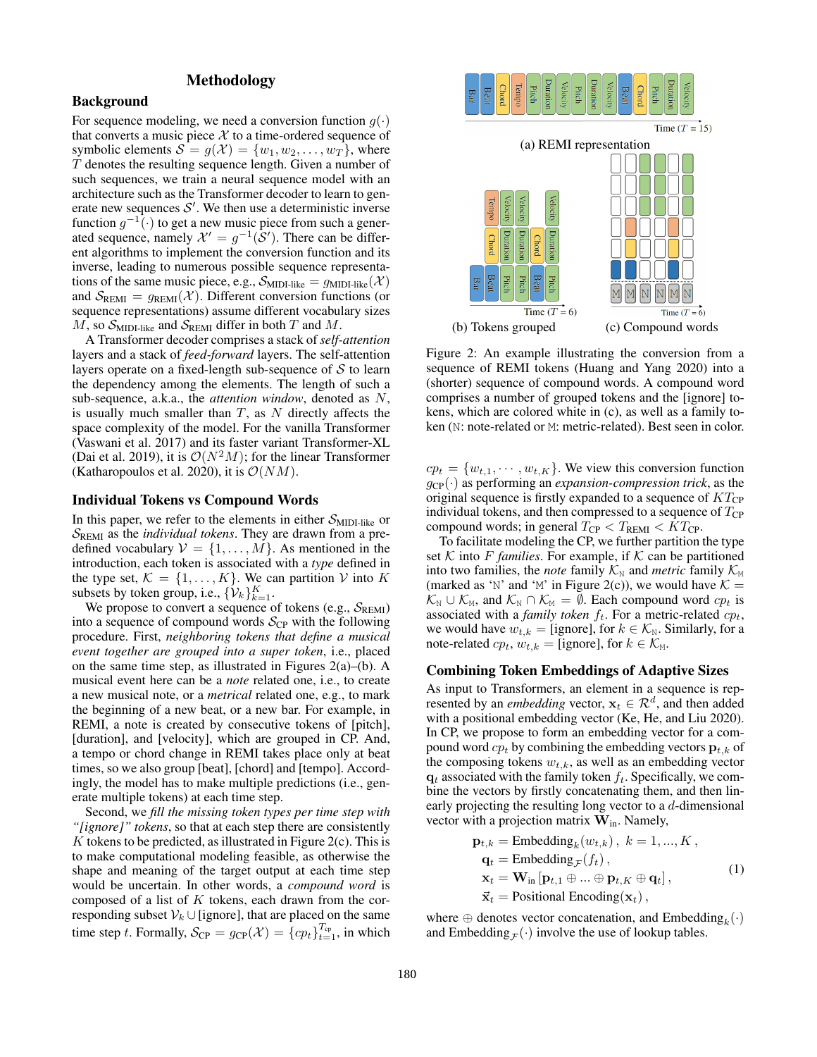# Methodology

#### Background

For sequence modeling, we need a conversion function  $g(\cdot)$ that converts a music piece  $X$  to a time-ordered sequence of symbolic elements  $S = g(\mathcal{X}) = \{w_1, w_2, \dots, w_T\}$ , where T denotes the resulting sequence length. Given a number of such sequences, we train a neural sequence model with an architecture such as the Transformer decoder to learn to generate new sequences  $S'$ . We then use a deterministic inverse function  $g^{-1}(\cdot)$  to get a new music piece from such a generated sequence, namely  $\mathcal{X}' = g^{-1}(\mathcal{S}')$ . There can be different algorithms to implement the conversion function and its inverse, leading to numerous possible sequence representations of the same music piece, e.g.,  $\mathcal{S}_{\text{MIDI-like}} = g_{\text{MIDI-like}}(\mathcal{X})$ and  $S_{\text{REM}} = g_{\text{REM}}(\mathcal{X})$ . Different conversion functions (or sequence representations) assume different vocabulary sizes  $M$ , so  $\mathcal{S}_{\text{MIDI-like}}$  and  $\mathcal{S}_{\text{REM}}$  differ in both  $T$  and  $M$ .

A Transformer decoder comprises a stack of *self-attention* layers and a stack of *feed-forward* layers. The self-attention layers operate on a fixed-length sub-sequence of  $S$  to learn the dependency among the elements. The length of such a sub-sequence, a.k.a., the *attention window*, denoted as N, is usually much smaller than  $T$ , as  $N$  directly affects the space complexity of the model. For the vanilla Transformer (Vaswani et al. 2017) and its faster variant Transformer-XL (Dai et al. 2019), it is  $\mathcal{O}(N^2M)$ ; for the linear Transformer (Katharopoulos et al. 2020), it is  $\mathcal{O}(NM)$ .

#### Individual Tokens vs Compound Words

In this paper, we refer to the elements in either  $S_{\text{MIDI-like}}$  or SREMI as the *individual tokens*. They are drawn from a predefined vocabulary  $V = \{1, \ldots, M\}$ . As mentioned in the introduction, each token is associated with a *type* defined in the type set,  $K = \{1, \ldots, K\}$ . We can partition V into K subsets by token group, i.e.,  $\{\hat{\mathcal{V}}_k\}_{k=1}^K$ .

We propose to convert a sequence of tokens (e.g.,  $S_{\text{REM}}$ ) into a sequence of compound words  $S_{\rm CP}$  with the following procedure. First, *neighboring tokens that define a musical event together are grouped into a super token*, i.e., placed on the same time step, as illustrated in Figures  $2(a)$ –(b). A musical event here can be a *note* related one, i.e., to create a new musical note, or a *metrical* related one, e.g., to mark the beginning of a new beat, or a new bar. For example, in REMI, a note is created by consecutive tokens of [pitch], [duration], and [velocity], which are grouped in CP. And, a tempo or chord change in REMI takes place only at beat times, so we also group [beat], [chord] and [tempo]. Accordingly, the model has to make multiple predictions (i.e., generate multiple tokens) at each time step.

Second, we *fill the missing token types per time step with "[ignore]" tokens*, so that at each step there are consistently K tokens to be predicted, as illustrated in Figure 2(c). This is to make computational modeling feasible, as otherwise the shape and meaning of the target output at each time step would be uncertain. In other words, a *compound word* is composed of a list of  $K$  tokens, each drawn from the corresponding subset  $\mathcal{V}_k \cup$  [ignore], that are placed on the same time step t. Formally,  $S_{\text{CP}} = g_{\text{CP}}(\mathcal{X}) = \{cp_t\}_{t=1}^{T_{\text{cp}}}$ , in which



Figure 2: An example illustrating the conversion from a sequence of REMI tokens (Huang and Yang 2020) into a (shorter) sequence of compound words. A compound word comprises a number of grouped tokens and the [ignore] tokens, which are colored white in (c), as well as a family token (N: note-related or M: metric-related). Best seen in color.

 $cp_t = \{w_{t,1}, \dots, w_{t,K}\}.$  We view this conversion function  $g_{\text{CP}}(\cdot)$  as performing an *expansion-compression trick*, as the original sequence is firstly expanded to a sequence of  $KT_{CP}$ individual tokens, and then compressed to a sequence of  $T_{\text{CP}}$ compound words; in general  $T_{\text{CP}} < T_{\text{REM}} < KT_{\text{CP}}$ .

To facilitate modeling the CP, we further partition the type set  $K$  into F *families*. For example, if  $K$  can be partitioned into two families, the *note* family  $K_N$  and *metric* family  $K_M$ (marked as 'N' and 'M' in Figure 2(c)), we would have  $K =$  $\mathcal{K}_{N} \cup \mathcal{K}_{M}$ , and  $\mathcal{K}_{N} \cap \mathcal{K}_{M} = \emptyset$ . Each compound word  $cp_{t}$  is associated with a *family token*  $f_t$ . For a metric-related  $cp_t$ , we would have  $w_{t,k} =$  [ignore], for  $k \in \mathcal{K}_{N}$ . Similarly, for a note-related  $cp_t$ ,  $w_{t,k}$  = [ignore], for  $k \in \mathcal{K}_{M}$ .

#### Combining Token Embeddings of Adaptive Sizes

As input to Transformers, an element in a sequence is represented by an *embedding* vector,  $x_t \in \mathcal{R}^d$ , and then added with a positional embedding vector (Ke, He, and Liu 2020). In CP, we propose to form an embedding vector for a compound word  $cp_t$  by combining the embedding vectors  $\mathbf{p}_{t,k}$  of the composing tokens  $w_{t,k}$ , as well as an embedding vector  $q_t$  associated with the family token  $f_t$ . Specifically, we combine the vectors by firstly concatenating them, and then linearly projecting the resulting long vector to a d-dimensional vector with a projection matrix  $\mathbf{W}_{in}$ . Namely,

$$
\mathbf{p}_{t,k} = \text{Embedding}_{k}(w_{t,k}), k = 1, ..., K,
$$
\n
$$
\mathbf{q}_{t} = \text{Embedding}_{\mathcal{F}}(f_{t}),
$$
\n
$$
\mathbf{x}_{t} = \mathbf{W}_{in}[\mathbf{p}_{t,1} \oplus ... \oplus \mathbf{p}_{t,K} \oplus \mathbf{q}_{t}],
$$
\n
$$
\vec{\mathbf{x}}_{t} = \text{Positional Encoding}(\mathbf{x}_{t}),
$$
\n(1)

where  $\oplus$  denotes vector concatenation, and Embedding<sub>k</sub> $(\cdot)$ and Embedding  $_F(\cdot)$  involve the use of lookup tables.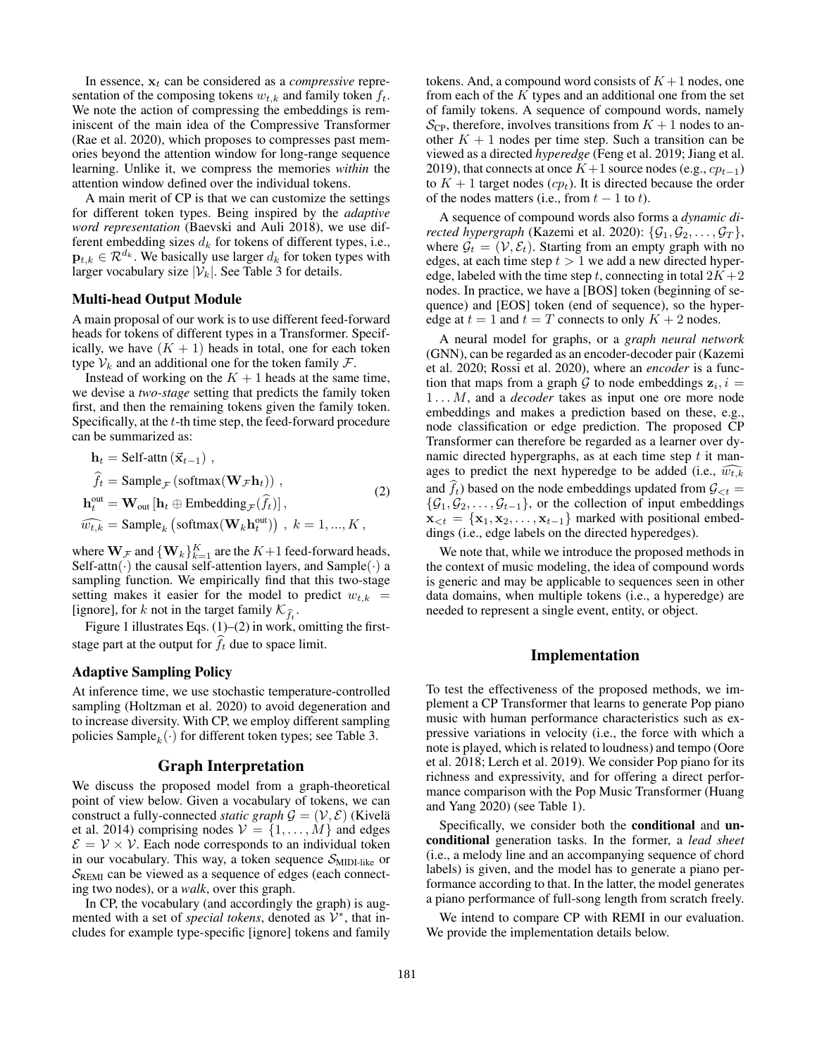In essence,  $x_t$  can be considered as a *compressive* representation of the composing tokens  $w_{t,k}$  and family token  $f_t$ . We note the action of compressing the embeddings is reminiscent of the main idea of the Compressive Transformer (Rae et al. 2020), which proposes to compresses past memories beyond the attention window for long-range sequence learning. Unlike it, we compress the memories *within* the attention window defined over the individual tokens.

A main merit of CP is that we can customize the settings for different token types. Being inspired by the *adaptive word representation* (Baevski and Auli 2018), we use different embedding sizes  $d_k$  for tokens of different types, i.e.,  $\mathbf{p}_{t,k} \in \mathcal{R}^{d_k}$ . We basically use larger  $d_k$  for token types with larger vocabulary size  $|\mathcal{V}_k|$ . See Table 3 for details.

# Multi-head Output Module

A main proposal of our work is to use different feed-forward heads for tokens of different types in a Transformer. Specifically, we have  $(K + 1)$  heads in total, one for each token type  $V_k$  and an additional one for the token family  $\mathcal{F}$ .

Instead of working on the  $K + 1$  heads at the same time, we devise a *two-stage* setting that predicts the family token first, and then the remaining tokens given the family token. Specifically, at the t-th time step, the feed-forward procedure can be summarized as:

$$
\mathbf{h}_{t} = \text{Self-attn}(\vec{\mathbf{x}}_{t-1}),
$$
\n
$$
\hat{f}_{t} = \text{Sample}_{\mathcal{F}}(\text{softmax}(\mathbf{W}_{\mathcal{F}}\mathbf{h}_{t}))
$$
\n
$$
\mathbf{h}_{t}^{\text{out}} = \mathbf{W}_{\text{out}}[\mathbf{h}_{t} \oplus \text{Embedding}_{\mathcal{F}}(\hat{f}_{t})],
$$
\n
$$
\widehat{w_{t,k}} = \text{Sample}_{k}(\text{softmax}(\mathbf{W}_{k}\mathbf{h}_{t}^{\text{out}}))
$$
\n
$$
k = 1, ..., K
$$
\n(2)

where  $\mathbf{W}_{\mathcal{F}}$  and  ${\{\mathbf{W}_k\}}_{k=1}^K$  are the  $K+1$  feed-forward heads, Self-attn $(\cdot)$  the causal self-attention layers, and Sample $(\cdot)$  a sampling function. We empirically find that this two-stage setting makes it easier for the model to predict  $w_{t,k}$  = [ignore], for k not in the target family  $\mathcal{K}_{\hat{f}_t}$ .

Figure 1 illustrates Eqs.  $(1)$ – $(2)$  in work, omitting the firststage part at the output for  $\hat{f}_t$  due to space limit.

#### Adaptive Sampling Policy

At inference time, we use stochastic temperature-controlled sampling (Holtzman et al. 2020) to avoid degeneration and to increase diversity. With CP, we employ different sampling policies  $\mathrm{Sample}_k(\cdot)$  for different token types; see Table 3.

#### Graph Interpretation

We discuss the proposed model from a graph-theoretical point of view below. Given a vocabulary of tokens, we can construct a fully-connected *static graph*  $\mathcal{G} = (\mathcal{V}, \mathcal{E})$  (Kivelä et al. 2014) comprising nodes  $V = \{1, \ldots, M\}$  and edges  $\mathcal{E} = \mathcal{V} \times \mathcal{V}$ . Each node corresponds to an individual token in our vocabulary. This way, a token sequence  $S_{\text{MIDI-like}}$  or  $S_{\text{REM}}$  can be viewed as a sequence of edges (each connecting two nodes), or a *walk*, over this graph.

In CP, the vocabulary (and accordingly the graph) is augmented with a set of *special tokens*, denoted as  $\hat{V}^*$ , that includes for example type-specific [ignore] tokens and family tokens. And, a compound word consists of  $K+1$  nodes, one from each of the  $K$  types and an additional one from the set of family tokens. A sequence of compound words, namely  $\mathcal{S}_{\text{CP}}$ , therefore, involves transitions from  $K + 1$  nodes to another  $K + 1$  nodes per time step. Such a transition can be viewed as a directed *hyperedge* (Feng et al. 2019; Jiang et al. 2019), that connects at once  $K+1$  source nodes (e.g.,  $cp_{t-1}$ ) to  $K + 1$  target nodes  $(cp_t)$ . It is directed because the order of the nodes matters (i.e., from  $t - 1$  to t).

A sequence of compound words also forms a *dynamic directed hypergraph* (Kazemi et al. 2020):  $\{G_1, G_2, \ldots, G_T\}$ , where  $\mathcal{G}_t = (\mathcal{V}, \mathcal{E}_t)$ . Starting from an empty graph with no edges, at each time step  $t > 1$  we add a new directed hyperedge, labeled with the time step t, connecting in total  $2K + 2$ nodes. In practice, we have a [BOS] token (beginning of sequence) and [EOS] token (end of sequence), so the hyperedge at  $t = 1$  and  $t = T$  connects to only  $K + 2$  nodes.

A neural model for graphs, or a *graph neural network* (GNN), can be regarded as an encoder-decoder pair (Kazemi et al. 2020; Rossi et al. 2020), where an *encoder* is a function that maps from a graph G to node embeddings  $z_i$ ,  $i =$ 1 . . . M, and a *decoder* takes as input one ore more node embeddings and makes a prediction based on these, e.g., node classification or edge prediction. The proposed CP Transformer can therefore be regarded as a learner over dynamic directed hypergraphs, as at each time step  $t$  it manages to predict the next hyperedge to be added (i.e.,  $\widehat{w_{t,k}}$ and  $f_t$ ) based on the node embeddings updated from  $\mathcal{G}_{< t} =$  $\{\mathcal{G}_1, \mathcal{G}_2, \ldots, \mathcal{G}_{t-1}\}\$ , or the collection of input embeddings  $\mathbf{x}_{\leq t} = {\mathbf{x}_1, \mathbf{x}_2, \dots, \mathbf{x}_{t-1}}$  marked with positional embeddings (i.e., edge labels on the directed hyperedges).

We note that, while we introduce the proposed methods in the context of music modeling, the idea of compound words is generic and may be applicable to sequences seen in other data domains, when multiple tokens (i.e., a hyperedge) are needed to represent a single event, entity, or object.

# Implementation

To test the effectiveness of the proposed methods, we implement a CP Transformer that learns to generate Pop piano music with human performance characteristics such as expressive variations in velocity (i.e., the force with which a note is played, which is related to loudness) and tempo (Oore et al. 2018; Lerch et al. 2019). We consider Pop piano for its richness and expressivity, and for offering a direct performance comparison with the Pop Music Transformer (Huang and Yang 2020) (see Table 1).

Specifically, we consider both the conditional and unconditional generation tasks. In the former, a *lead sheet* (i.e., a melody line and an accompanying sequence of chord labels) is given, and the model has to generate a piano performance according to that. In the latter, the model generates a piano performance of full-song length from scratch freely.

We intend to compare CP with REMI in our evaluation. We provide the implementation details below.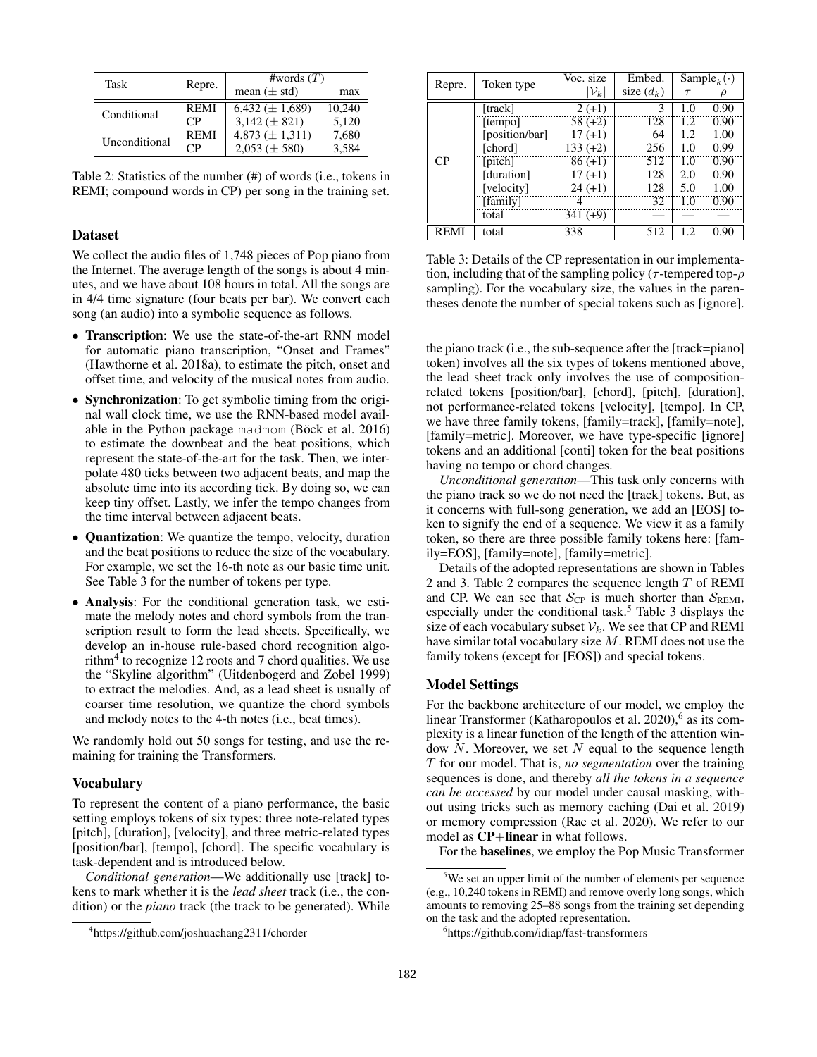| Task          | Repre.      | #words $(T)$                     |        |  |  |
|---------------|-------------|----------------------------------|--------|--|--|
|               |             | mean $(\pm$ std)                 | max    |  |  |
| Conditional   | <b>REMI</b> | $\overline{6,432} \,(\pm 1,689)$ | 10.240 |  |  |
|               | СP          | $3,142 \ (\pm 821)$              | 5.120  |  |  |
| Unconditional | <b>REMI</b> | $4,873 \ (\pm 1,311)$            | 7,680  |  |  |
|               | $\cdot$ 'P  | $2,053 \ (\pm 580)$              | 3.584  |  |  |

Table 2: Statistics of the number (#) of words (i.e., tokens in REMI; compound words in CP) per song in the training set.

# Dataset

We collect the audio files of 1,748 pieces of Pop piano from the Internet. The average length of the songs is about 4 minutes, and we have about 108 hours in total. All the songs are in 4/4 time signature (four beats per bar). We convert each song (an audio) into a symbolic sequence as follows.

- Transcription: We use the state-of-the-art RNN model for automatic piano transcription, "Onset and Frames" (Hawthorne et al. 2018a), to estimate the pitch, onset and offset time, and velocity of the musical notes from audio.
- Synchronization: To get symbolic timing from the original wall clock time, we use the RNN-based model available in the Python package madmom (Böck et al.  $2016$ ) to estimate the downbeat and the beat positions, which represent the state-of-the-art for the task. Then, we interpolate 480 ticks between two adjacent beats, and map the absolute time into its according tick. By doing so, we can keep tiny offset. Lastly, we infer the tempo changes from the time interval between adjacent beats.
- **Quantization**: We quantize the tempo, velocity, duration and the beat positions to reduce the size of the vocabulary. For example, we set the 16-th note as our basic time unit. See Table 3 for the number of tokens per type.
- Analysis: For the conditional generation task, we estimate the melody notes and chord symbols from the transcription result to form the lead sheets. Specifically, we develop an in-house rule-based chord recognition algorithm<sup>4</sup> to recognize 12 roots and 7 chord qualities. We use the "Skyline algorithm" (Uitdenbogerd and Zobel 1999) to extract the melodies. And, as a lead sheet is usually of coarser time resolution, we quantize the chord symbols and melody notes to the 4-th notes (i.e., beat times).

We randomly hold out 50 songs for testing, and use the remaining for training the Transformers.

#### Vocabulary

To represent the content of a piano performance, the basic setting employs tokens of six types: three note-related types [pitch], [duration], [velocity], and three metric-related types [position/bar], [tempo], [chord]. The specific vocabulary is task-dependent and is introduced below.

*Conditional generation*—We additionally use [track] tokens to mark whether it is the *lead sheet* track (i.e., the condition) or the *piano* track (the track to be generated). While

| Repre.      | Token type     | Voc. size         | Embed.       | $\overline{\text{Sample}}_k(\cdot)$ |      |
|-------------|----------------|-------------------|--------------|-------------------------------------|------|
|             |                | $ \mathcal{V}_k $ | size $(d_k)$ | $\tau$                              |      |
|             | [track]        | $2 (+1)$          | 3            | 1.0                                 | 0.90 |
|             | [tempo]        | $58(+2)$          | 128          | 1.2                                 | 0.90 |
|             | [position/bar] | $17 (+1)$         | 64           | 1.2                                 | 1.00 |
|             | [chord]        | $133 (+2)$        | 256          | 1.0                                 | 0.99 |
| <b>CP</b>   | [pitch]        | $86 (+1)$         | 512          | 1.0                                 | 0.90 |
|             | [duration]     | $17 (+1)$         | 128          | 2.0                                 | 0.90 |
|             | [velocity]     | $24 (+1)$         | 128          | 5.0                                 | 1.00 |
|             | [family]       | 4                 | 32           | 1.0                                 | 0.90 |
|             | total          | $341 (+9)$        |              |                                     |      |
| <b>REMI</b> | total          | 338               | 512          | 12                                  | 0.90 |

Table 3: Details of the CP representation in our implementation, including that of the sampling policy ( $\tau$ -tempered top- $\rho$ sampling). For the vocabulary size, the values in the parentheses denote the number of special tokens such as [ignore].

the piano track (i.e., the sub-sequence after the [track=piano] token) involves all the six types of tokens mentioned above, the lead sheet track only involves the use of compositionrelated tokens [position/bar], [chord], [pitch], [duration], not performance-related tokens [velocity], [tempo]. In CP, we have three family tokens, [family=track], [family=note], [family=metric]. Moreover, we have type-specific [ignore] tokens and an additional [conti] token for the beat positions having no tempo or chord changes.

*Unconditional generation*—This task only concerns with the piano track so we do not need the [track] tokens. But, as it concerns with full-song generation, we add an [EOS] token to signify the end of a sequence. We view it as a family token, so there are three possible family tokens here: [family=EOS], [family=note], [family=metric].

Details of the adopted representations are shown in Tables 2 and 3. Table 2 compares the sequence length  $T$  of REMI and CP. We can see that  $S_{\text{CP}}$  is much shorter than  $S_{\text{REM}}$ , especially under the conditional task.<sup>5</sup> Table 3 displays the size of each vocabulary subset  $V_k$ . We see that CP and REMI have similar total vocabulary size M. REMI does not use the family tokens (except for [EOS]) and special tokens.

# Model Settings

For the backbone architecture of our model, we employ the linear Transformer (Katharopoulos et al. 2020),<sup>6</sup> as its complexity is a linear function of the length of the attention window  $N$ . Moreover, we set  $N$  equal to the sequence length T for our model. That is, *no segmentation* over the training sequences is done, and thereby *all the tokens in a sequence can be accessed* by our model under causal masking, without using tricks such as memory caching (Dai et al. 2019) or memory compression (Rae et al. 2020). We refer to our model as CP+linear in what follows.

For the baselines, we employ the Pop Music Transformer

<sup>4</sup> https://github.com/joshuachang2311/chorder

<sup>&</sup>lt;sup>5</sup>We set an upper limit of the number of elements per sequence (e.g., 10,240 tokens in REMI) and remove overly long songs, which amounts to removing 25–88 songs from the training set depending on the task and the adopted representation.

<sup>6</sup> https://github.com/idiap/fast-transformers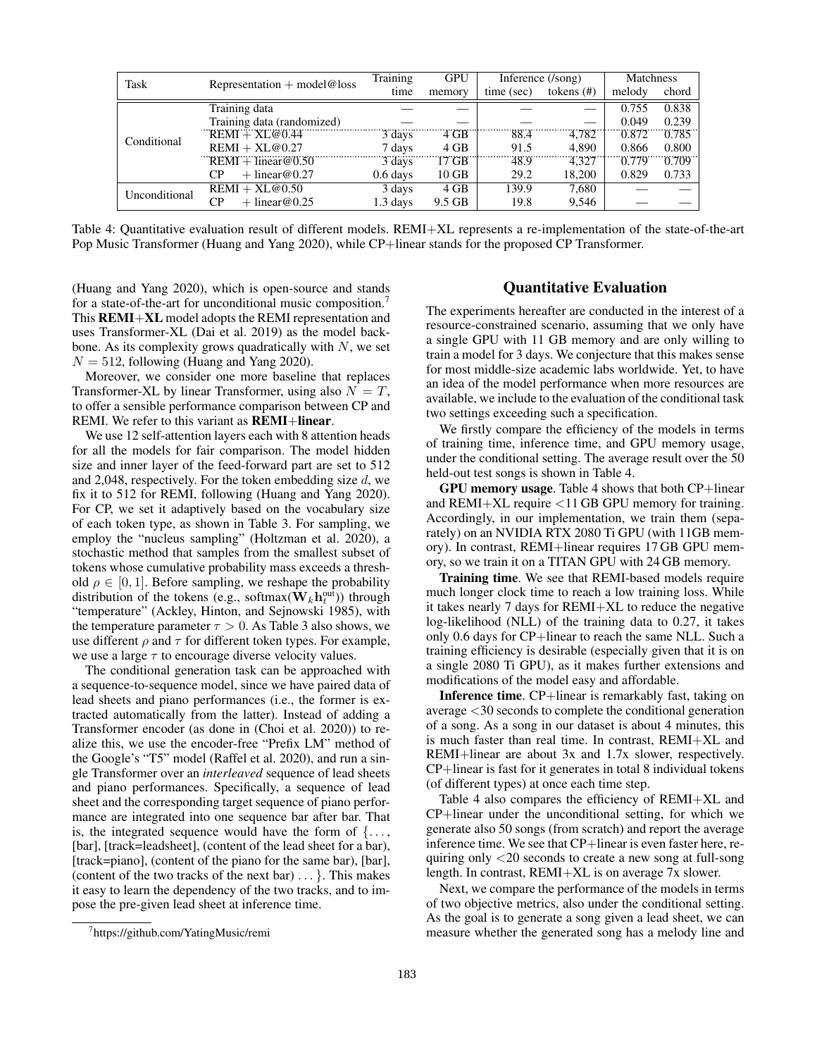| Task          | Representation $+$ model@loss | Training   | <b>GPU</b> |            | Inference (/song) |        | Matchness |  |
|---------------|-------------------------------|------------|------------|------------|-------------------|--------|-----------|--|
|               |                               | time       | memory     | time (sec) | tokens $(\#)$     | melody | chord     |  |
|               | Training data                 |            |            |            |                   | 0.755  | 0.838     |  |
| Conditional   | Training data (randomized)    |            |            |            |                   | 0.049  | 0.239     |  |
|               | $REMI + XL@0.44$              | 3 days     | 4 GB       | 88.4       | 4.782             | 0.872  | 0.785     |  |
|               | $REMI + XL@0.27$              | 7 days     | $4$ GB     | 91.5       | 4.890             | 0.866  | 0.800     |  |
|               | $REMI + linear@0.50$          | 3 days     | 17 GB      | 48.9       | 4.327             | 0.779  | 0.709     |  |
|               | $+$ linear @0.27<br>CР        | $0.6$ days | $10$ GB    | 29.2       | 18.200            | 0.829  | 0.733     |  |
| Unconditional | $REMI + XL@0.50$              | 3 days     | $4$ GB     | 139.9      | 7,680             |        |           |  |
|               | СP<br>$+$ linear@0.25         | $1.3$ days | 9.5 GB     | 19.8       | 9,546             |        |           |  |

Table 4: Quantitative evaluation result of different models. REMI+XL represents a re-implementation of the state-of-the-art Pop Music Transformer (Huang and Yang 2020), while CP+linear stands for the proposed CP Transformer.

(Huang and Yang 2020), which is open-source and stands for a state-of-the-art for unconditional music composition.<sup>7</sup> This REMI+XL model adopts the REMI representation and uses Transformer-XL (Dai et al. 2019) as the model backbone. As its complexity grows quadratically with  $N$ , we set  $N = 512$ , following (Huang and Yang 2020).

Moreover, we consider one more baseline that replaces Transformer-XL by linear Transformer, using also  $N = T$ , to offer a sensible performance comparison between CP and REMI. We refer to this variant as **REMI+linear**.

We use 12 self-attention layers each with 8 attention heads for all the models for fair comparison. The model hidden size and inner layer of the feed-forward part are set to 512 and 2,048, respectively. For the token embedding size d, we fix it to 512 for REMI, following (Huang and Yang 2020). For CP, we set it adaptively based on the vocabulary size of each token type, as shown in Table 3. For sampling, we employ the "nucleus sampling" (Holtzman et al. 2020), a stochastic method that samples from the smallest subset of tokens whose cumulative probability mass exceeds a threshold  $\rho \in [0, 1]$ . Before sampling, we reshape the probability distribution of the tokens (e.g., softmax( $\mathbf{W}_k \mathbf{h}_t^{\text{out}}$ )) through "temperature" (Ackley, Hinton, and Sejnowski 1985), with the temperature parameter  $\tau > 0$ . As Table 3 also shows, we use different  $\rho$  and  $\tau$  for different token types. For example, we use a large  $\tau$  to encourage diverse velocity values.

The conditional generation task can be approached with a sequence-to-sequence model, since we have paired data of lead sheets and piano performances (i.e., the former is extracted automatically from the latter). Instead of adding a Transformer encoder (as done in (Choi et al. 2020)) to realize this, we use the encoder-free "Prefix LM" method of the Google's "T5" model (Raffel et al. 2020), and run a single Transformer over an *interleaved* sequence of lead sheets and piano performances. Specifically, a sequence of lead sheet and the corresponding target sequence of piano performance are integrated into one sequence bar after bar. That is, the integrated sequence would have the form of  $\{\ldots,$ [bar], [track=leadsheet], (content of the lead sheet for a bar), [track=piano], (content of the piano for the same bar), [bar], (content of the two tracks of the next bar)  $\dots$  }. This makes it easy to learn the dependency of the two tracks, and to impose the pre-given lead sheet at inference time.

# 7 https://github.com/YatingMusic/remi

## Quantitative Evaluation

The experiments hereafter are conducted in the interest of a resource-constrained scenario, assuming that we only have a single GPU with 11 GB memory and are only willing to train a model for 3 days. We conjecture that this makes sense for most middle-size academic labs worldwide. Yet, to have an idea of the model performance when more resources are available, we include to the evaluation of the conditional task two settings exceeding such a specification.

We firstly compare the efficiency of the models in terms of training time, inference time, and GPU memory usage, under the conditional setting. The average result over the 50 held-out test songs is shown in Table 4.

GPU memory usage. Table 4 shows that both CP+linear and REMI+XL require <11 GB GPU memory for training. Accordingly, in our implementation, we train them (separately) on an NVIDIA RTX 2080 Ti GPU (with 11GB memory). In contrast, REMI+linear requires 17 GB GPU memory, so we train it on a TITAN GPU with 24 GB memory.

Training time. We see that REMI-based models require much longer clock time to reach a low training loss. While it takes nearly 7 days for REMI+XL to reduce the negative log-likelihood (NLL) of the training data to 0.27, it takes only 0.6 days for CP+linear to reach the same NLL. Such a training efficiency is desirable (especially given that it is on a single 2080 Ti GPU), as it makes further extensions and modifications of the model easy and affordable.

Inference time. CP+linear is remarkably fast, taking on average <30 seconds to complete the conditional generation of a song. As a song in our dataset is about 4 minutes, this is much faster than real time. In contrast, REMI+XL and REMI+linear are about 3x and 1.7x slower, respectively. CP+linear is fast for it generates in total 8 individual tokens (of different types) at once each time step.

Table 4 also compares the efficiency of REMI+XL and CP+linear under the unconditional setting, for which we generate also 50 songs (from scratch) and report the average inference time. We see that CP+linear is even faster here, requiring only <20 seconds to create a new song at full-song length. In contrast, REMI+XL is on average 7x slower.

Next, we compare the performance of the models in terms of two objective metrics, also under the conditional setting. As the goal is to generate a song given a lead sheet, we can measure whether the generated song has a melody line and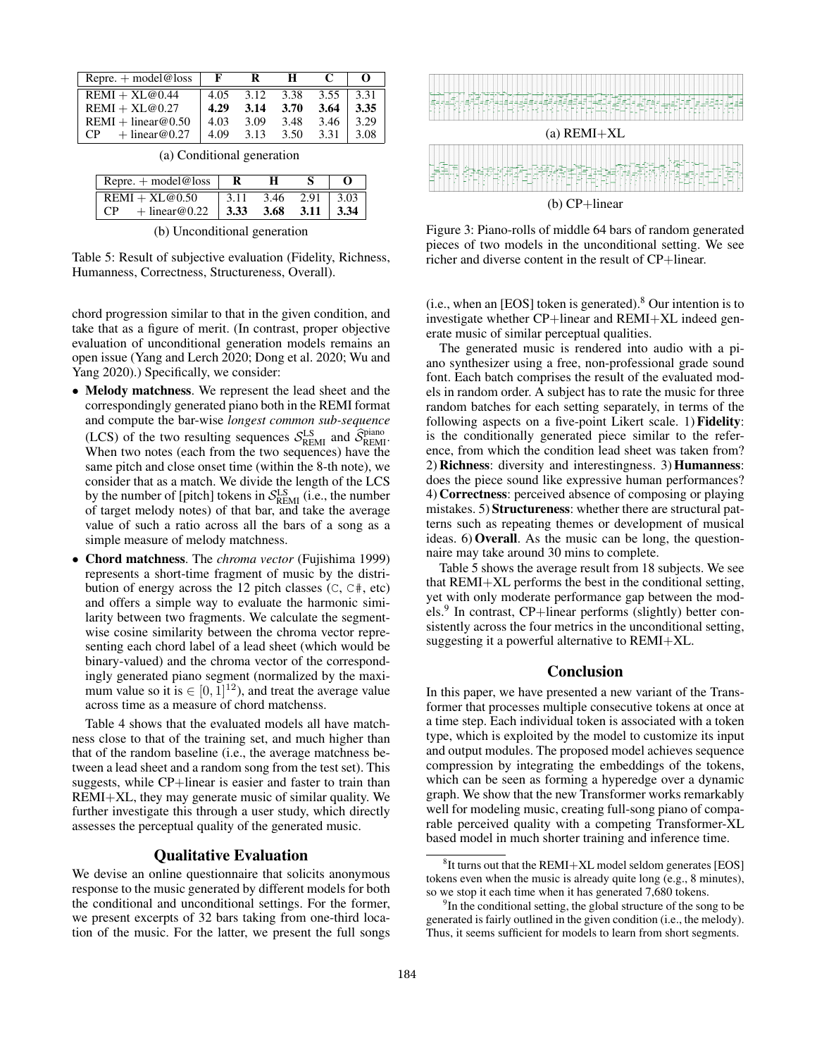| Repre. $+$ model@loss  |      |      | н    |      | 0    |
|------------------------|------|------|------|------|------|
| $REMI + XL@0.44$       | 4.05 | 3.12 | 3.38 | 3.55 | 3.31 |
| $REMI + XL@0.27$       | 4.29 | 3.14 | 3.70 | 3.64 | 3.35 |
| $REMI + linear@0.50$   | 4.03 | 3.09 | 3.48 | 3.46 | 3.29 |
| $+$ linear @0.27<br>CP | 4.09 | 3.13 | 3.50 | 3.31 | 3.08 |

|  | (a) Conditional generation |  |
|--|----------------------------|--|
|--|----------------------------|--|

| Repre. $+$ model@loss                               |       |      |                 |  |
|-----------------------------------------------------|-------|------|-----------------|--|
| $REMI + XL@0.50$                                    | -3.11 | 3.46 | $2.91 \pm 3.03$ |  |
| $+$ linear@0.22   3.33<br>$\mathbf{C}^{\mathbf{D}}$ |       | 3.68 | $3.11 \pm 3.34$ |  |

(b) Unconditional generation

Table 5: Result of subjective evaluation (Fidelity, Richness, Humanness, Correctness, Structureness, Overall).

chord progression similar to that in the given condition, and take that as a figure of merit. (In contrast, proper objective evaluation of unconditional generation models remains an open issue (Yang and Lerch 2020; Dong et al. 2020; Wu and Yang 2020).) Specifically, we consider:

- Melody matchness. We represent the lead sheet and the correspondingly generated piano both in the REMI format and compute the bar-wise *longest common sub-sequence* (LCS) of the two resulting sequences  $S_{REMI}^{LS}$  and  $\hat{S}_{REMI}^{piano}$ When two notes (each from the two sequences) have the same pitch and close onset time (within the 8-th note), we consider that as a match. We divide the length of the LCS by the number of [pitch] tokens in  $S_{\text{REM}}^{\text{LS}}$  (i.e., the number of target melody notes) of that bar, and take the average value of such a ratio across all the bars of a song as a simple measure of melody matchness.
- Chord matchness. The *chroma vector* (Fujishima 1999) represents a short-time fragment of music by the distribution of energy across the 12 pitch classes  $(C, C^*, etc)$ and offers a simple way to evaluate the harmonic similarity between two fragments. We calculate the segmentwise cosine similarity between the chroma vector representing each chord label of a lead sheet (which would be binary-valued) and the chroma vector of the correspondingly generated piano segment (normalized by the maximum value so it is  $\in [0, 1]^{12}$ ), and treat the average value across time as a measure of chord matchenss.

Table 4 shows that the evaluated models all have matchness close to that of the training set, and much higher than that of the random baseline (i.e., the average matchness between a lead sheet and a random song from the test set). This suggests, while CP+linear is easier and faster to train than REMI+XL, they may generate music of similar quality. We further investigate this through a user study, which directly assesses the perceptual quality of the generated music.

#### Qualitative Evaluation

We devise an online questionnaire that solicits anonymous response to the music generated by different models for both the conditional and unconditional settings. For the former, we present excerpts of 32 bars taking from one-third location of the music. For the latter, we present the full songs



Figure 3: Piano-rolls of middle 64 bars of random generated pieces of two models in the unconditional setting. We see richer and diverse content in the result of CP+linear.

(i.e., when an [EOS] token is generated). $8$  Our intention is to investigate whether CP+linear and REMI+XL indeed generate music of similar perceptual qualities.

The generated music is rendered into audio with a piano synthesizer using a free, non-professional grade sound font. Each batch comprises the result of the evaluated models in random order. A subject has to rate the music for three random batches for each setting separately, in terms of the following aspects on a five-point Likert scale. 1) Fidelity: is the conditionally generated piece similar to the reference, from which the condition lead sheet was taken from? 2) Richness: diversity and interestingness. 3) Humanness: does the piece sound like expressive human performances? 4) Correctness: perceived absence of composing or playing mistakes. 5) Structureness: whether there are structural patterns such as repeating themes or development of musical ideas. 6) Overall. As the music can be long, the questionnaire may take around 30 mins to complete.

Table 5 shows the average result from 18 subjects. We see that REMI+XL performs the best in the conditional setting, yet with only moderate performance gap between the models.<sup>9</sup> In contrast, CP+linear performs (slightly) better consistently across the four metrics in the unconditional setting, suggesting it a powerful alternative to REMI+XL.

#### Conclusion

In this paper, we have presented a new variant of the Transformer that processes multiple consecutive tokens at once at a time step. Each individual token is associated with a token type, which is exploited by the model to customize its input and output modules. The proposed model achieves sequence compression by integrating the embeddings of the tokens, which can be seen as forming a hyperedge over a dynamic graph. We show that the new Transformer works remarkably well for modeling music, creating full-song piano of comparable perceived quality with a competing Transformer-XL based model in much shorter training and inference time.

 ${}^{8}$ It turns out that the REMI+XL model seldom generates [EOS] tokens even when the music is already quite long (e.g., 8 minutes), so we stop it each time when it has generated 7,680 tokens.

<sup>&</sup>lt;sup>9</sup>In the conditional setting, the global structure of the song to be generated is fairly outlined in the given condition (i.e., the melody). Thus, it seems sufficient for models to learn from short segments.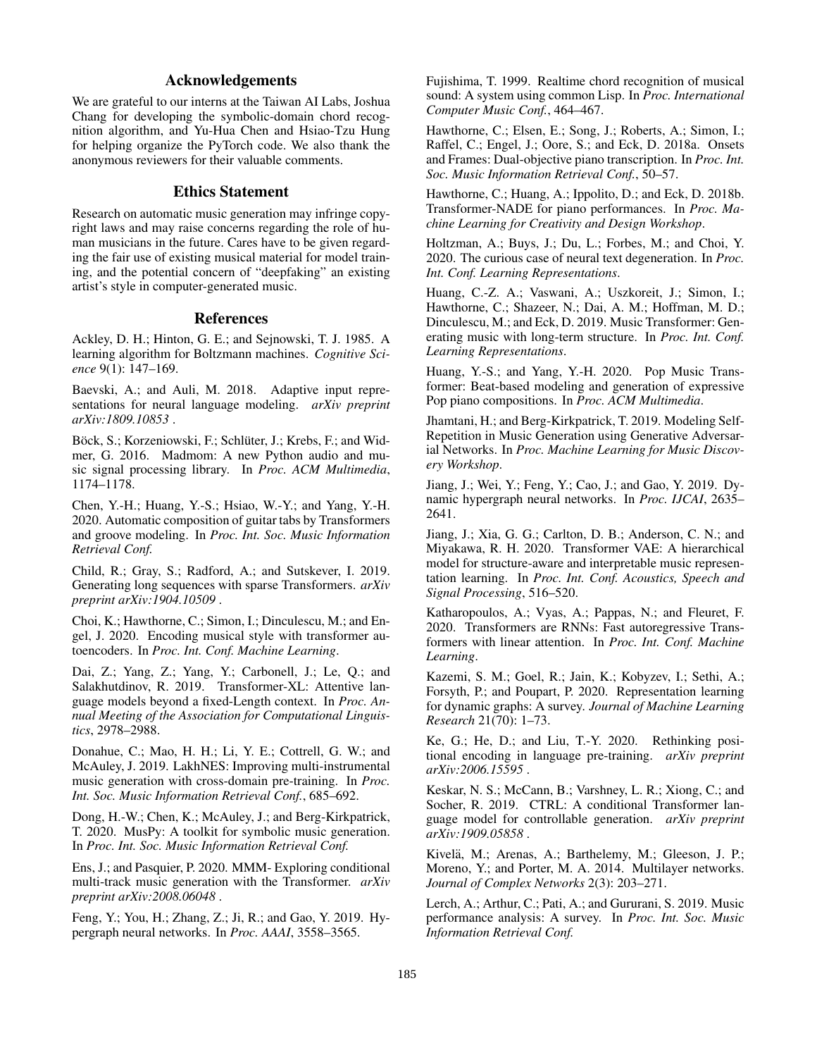# Acknowledgements

We are grateful to our interns at the Taiwan AI Labs, Joshua Chang for developing the symbolic-domain chord recognition algorithm, and Yu-Hua Chen and Hsiao-Tzu Hung for helping organize the PyTorch code. We also thank the anonymous reviewers for their valuable comments.

# Ethics Statement

Research on automatic music generation may infringe copyright laws and may raise concerns regarding the role of human musicians in the future. Cares have to be given regarding the fair use of existing musical material for model training, and the potential concern of "deepfaking" an existing artist's style in computer-generated music.

# References

Ackley, D. H.; Hinton, G. E.; and Sejnowski, T. J. 1985. A learning algorithm for Boltzmann machines. *Cognitive Science* 9(1): 147–169.

Baevski, A.; and Auli, M. 2018. Adaptive input representations for neural language modeling. *arXiv preprint arXiv:1809.10853* .

Böck, S.; Korzeniowski, F.; Schlüter, J.; Krebs, F.; and Widmer, G. 2016. Madmom: A new Python audio and music signal processing library. In *Proc. ACM Multimedia*, 1174–1178.

Chen, Y.-H.; Huang, Y.-S.; Hsiao, W.-Y.; and Yang, Y.-H. 2020. Automatic composition of guitar tabs by Transformers and groove modeling. In *Proc. Int. Soc. Music Information Retrieval Conf.*

Child, R.; Gray, S.; Radford, A.; and Sutskever, I. 2019. Generating long sequences with sparse Transformers. *arXiv preprint arXiv:1904.10509* .

Choi, K.; Hawthorne, C.; Simon, I.; Dinculescu, M.; and Engel, J. 2020. Encoding musical style with transformer autoencoders. In *Proc. Int. Conf. Machine Learning*.

Dai, Z.; Yang, Z.; Yang, Y.; Carbonell, J.; Le, Q.; and Salakhutdinov, R. 2019. Transformer-XL: Attentive language models beyond a fixed-Length context. In *Proc. Annual Meeting of the Association for Computational Linguistics*, 2978–2988.

Donahue, C.; Mao, H. H.; Li, Y. E.; Cottrell, G. W.; and McAuley, J. 2019. LakhNES: Improving multi-instrumental music generation with cross-domain pre-training. In *Proc. Int. Soc. Music Information Retrieval Conf.*, 685–692.

Dong, H.-W.; Chen, K.; McAuley, J.; and Berg-Kirkpatrick, T. 2020. MusPy: A toolkit for symbolic music generation. In *Proc. Int. Soc. Music Information Retrieval Conf.*

Ens, J.; and Pasquier, P. 2020. MMM- Exploring conditional multi-track music generation with the Transformer. *arXiv preprint arXiv:2008.06048* .

Feng, Y.; You, H.; Zhang, Z.; Ji, R.; and Gao, Y. 2019. Hypergraph neural networks. In *Proc. AAAI*, 3558–3565.

Fujishima, T. 1999. Realtime chord recognition of musical sound: A system using common Lisp. In *Proc. International Computer Music Conf.*, 464–467.

Hawthorne, C.; Elsen, E.; Song, J.; Roberts, A.; Simon, I.; Raffel, C.; Engel, J.; Oore, S.; and Eck, D. 2018a. Onsets and Frames: Dual-objective piano transcription. In *Proc. Int. Soc. Music Information Retrieval Conf.*, 50–57.

Hawthorne, C.; Huang, A.; Ippolito, D.; and Eck, D. 2018b. Transformer-NADE for piano performances. In *Proc. Machine Learning for Creativity and Design Workshop*.

Holtzman, A.; Buys, J.; Du, L.; Forbes, M.; and Choi, Y. 2020. The curious case of neural text degeneration. In *Proc. Int. Conf. Learning Representations*.

Huang, C.-Z. A.; Vaswani, A.; Uszkoreit, J.; Simon, I.; Hawthorne, C.; Shazeer, N.; Dai, A. M.; Hoffman, M. D.; Dinculescu, M.; and Eck, D. 2019. Music Transformer: Generating music with long-term structure. In *Proc. Int. Conf. Learning Representations*.

Huang, Y.-S.; and Yang, Y.-H. 2020. Pop Music Transformer: Beat-based modeling and generation of expressive Pop piano compositions. In *Proc. ACM Multimedia*.

Jhamtani, H.; and Berg-Kirkpatrick, T. 2019. Modeling Self-Repetition in Music Generation using Generative Adversarial Networks. In *Proc. Machine Learning for Music Discovery Workshop*.

Jiang, J.; Wei, Y.; Feng, Y.; Cao, J.; and Gao, Y. 2019. Dynamic hypergraph neural networks. In *Proc. IJCAI*, 2635– 2641.

Jiang, J.; Xia, G. G.; Carlton, D. B.; Anderson, C. N.; and Miyakawa, R. H. 2020. Transformer VAE: A hierarchical model for structure-aware and interpretable music representation learning. In *Proc. Int. Conf. Acoustics, Speech and Signal Processing*, 516–520.

Katharopoulos, A.; Vyas, A.; Pappas, N.; and Fleuret, F. 2020. Transformers are RNNs: Fast autoregressive Transformers with linear attention. In *Proc. Int. Conf. Machine Learning*.

Kazemi, S. M.; Goel, R.; Jain, K.; Kobyzev, I.; Sethi, A.; Forsyth, P.; and Poupart, P. 2020. Representation learning for dynamic graphs: A survey. *Journal of Machine Learning Research* 21(70): 1–73.

Ke, G.; He, D.; and Liu, T.-Y. 2020. Rethinking positional encoding in language pre-training. *arXiv preprint arXiv:2006.15595* .

Keskar, N. S.; McCann, B.; Varshney, L. R.; Xiong, C.; and Socher, R. 2019. CTRL: A conditional Transformer language model for controllable generation. *arXiv preprint arXiv:1909.05858* .

Kivelä, M.; Arenas, A.; Barthelemy, M.; Gleeson, J. P.; Moreno, Y.; and Porter, M. A. 2014. Multilayer networks. *Journal of Complex Networks* 2(3): 203–271.

Lerch, A.; Arthur, C.; Pati, A.; and Gururani, S. 2019. Music performance analysis: A survey. In *Proc. Int. Soc. Music Information Retrieval Conf.*